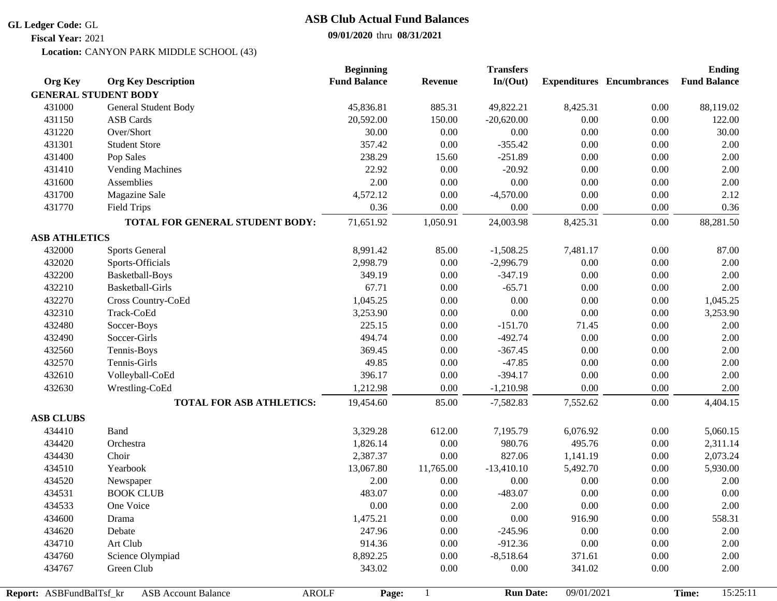#### **GL Ledger Code:** GL

# **ASB Club Actual Fund Balances**

**09/01/2020** thru **08/31/2021**

Location: CANYON PARK MIDDLE SCHOOL (43) **Fiscal Year:** 2021

|                          |                                            | <b>Beginning</b>    |                | <b>Transfers</b> |            |                                  | <b>Ending</b>       |
|--------------------------|--------------------------------------------|---------------------|----------------|------------------|------------|----------------------------------|---------------------|
| <b>Org Key</b>           | <b>Org Key Description</b>                 | <b>Fund Balance</b> | <b>Revenue</b> | In/(Out)         |            | <b>Expenditures</b> Encumbrances | <b>Fund Balance</b> |
|                          | <b>GENERAL STUDENT BODY</b>                |                     |                |                  |            |                                  |                     |
| 431000                   | General Student Body                       | 45,836.81           | 885.31         | 49,822.21        | 8,425.31   | 0.00                             | 88,119.02           |
| 431150                   | <b>ASB Cards</b>                           | 20,592.00           | 150.00         | $-20,620.00$     | 0.00       | 0.00                             | 122.00              |
| 431220                   | Over/Short                                 | 30.00               | 0.00           | 0.00             | $0.00\,$   | 0.00                             | 30.00               |
| 431301                   | <b>Student Store</b>                       | 357.42              | 0.00           | $-355.42$        | $0.00\,$   | $0.00\,$                         | 2.00                |
| 431400                   | Pop Sales                                  | 238.29              | 15.60          | $-251.89$        | 0.00       | $0.00\,$                         | 2.00                |
| 431410                   | <b>Vending Machines</b>                    | 22.92               | 0.00           | $-20.92$         | 0.00       | 0.00                             | 2.00                |
| 431600                   | Assemblies                                 | 2.00                | 0.00           | $0.00\,$         | 0.00       | 0.00                             | 2.00                |
| 431700                   | Magazine Sale                              | 4,572.12            | 0.00           | $-4,570.00$      | 0.00       | 0.00                             | 2.12                |
| 431770                   | <b>Field Trips</b>                         | 0.36                | 0.00           | 0.00             | 0.00       | 0.00                             | 0.36                |
|                          | TOTAL FOR GENERAL STUDENT BODY:            | 71,651.92           | 1,050.91       | 24,003.98        | 8,425.31   | 0.00                             | 88,281.50           |
| <b>ASB ATHLETICS</b>     |                                            |                     |                |                  |            |                                  |                     |
| 432000                   | <b>Sports General</b>                      | 8,991.42            | 85.00          | $-1,508.25$      | 7,481.17   | 0.00                             | 87.00               |
| 432020                   | Sports-Officials                           | 2,998.79            | 0.00           | $-2,996.79$      | $0.00\,$   | $0.00\,$                         | 2.00                |
| 432200                   | Basketball-Boys                            | 349.19              | 0.00           | $-347.19$        | 0.00       | 0.00                             | 2.00                |
| 432210                   | <b>Basketball-Girls</b>                    | 67.71               | 0.00           | $-65.71$         | 0.00       | 0.00                             | 2.00                |
| 432270                   | Cross Country-CoEd                         | 1,045.25            | 0.00           | $0.00\,$         | 0.00       | 0.00                             | 1,045.25            |
| 432310                   | Track-CoEd                                 | 3,253.90            | 0.00           | $0.00\,$         | 0.00       | 0.00                             | 3,253.90            |
| 432480                   | Soccer-Boys                                | 225.15              | 0.00           | $-151.70$        | 71.45      | 0.00                             | 2.00                |
| 432490                   | Soccer-Girls                               | 494.74              | 0.00           | $-492.74$        | 0.00       | 0.00                             | 2.00                |
| 432560                   | Tennis-Boys                                | 369.45              | 0.00           | $-367.45$        | $0.00\,$   | $0.00\,$                         | 2.00                |
| 432570                   | Tennis-Girls                               | 49.85               | 0.00           | $-47.85$         | 0.00       | $0.00\,$                         | 2.00                |
| 432610                   | Volleyball-CoEd                            | 396.17              | 0.00           | $-394.17$        | 0.00       | 0.00                             | 2.00                |
| 432630                   | Wrestling-CoEd                             | 1,212.98            | 0.00           | $-1,210.98$      | 0.00       | 0.00                             | 2.00                |
|                          | <b>TOTAL FOR ASB ATHLETICS:</b>            | 19,454.60           | 85.00          | $-7,582.83$      | 7,552.62   | 0.00                             | 4,404.15            |
| <b>ASB CLUBS</b>         |                                            |                     |                |                  |            |                                  |                     |
| 434410                   | Band                                       | 3,329.28            | 612.00         | 7,195.79         | 6,076.92   | 0.00                             | 5,060.15            |
| 434420                   | Orchestra                                  | 1,826.14            | 0.00           | 980.76           | 495.76     | 0.00                             | 2,311.14            |
| 434430                   | Choir                                      | 2,387.37            | 0.00           | 827.06           | 1,141.19   | 0.00                             | 2,073.24            |
| 434510                   | Yearbook                                   | 13,067.80           | 11,765.00      | $-13,410.10$     | 5,492.70   | 0.00                             | 5,930.00            |
| 434520                   | Newspaper                                  | 2.00                | 0.00           | 0.00             | 0.00       | $0.00\,$                         | 2.00                |
| 434531                   | <b>BOOK CLUB</b>                           | 483.07              | 0.00           | $-483.07$        | $0.00\,$   | 0.00                             | 0.00                |
| 434533                   | One Voice                                  | $0.00\,$            | $0.00\,$       | $2.00\,$         | $0.00\,$   | $0.00\,$                         | 2.00                |
| 434600                   | Drama                                      | 1,475.21            | 0.00           | 0.00             | 916.90     | 0.00                             | 558.31              |
| 434620                   | Debate                                     | 247.96              | 0.00           | $-245.96$        | 0.00       | 0.00                             | 2.00                |
| 434710                   | Art Club                                   | 914.36              | 0.00           | $-912.36$        | 0.00       | 0.00                             | 2.00                |
| 434760                   | Science Olympiad                           | 8,892.25            | 0.00           | $-8,518.64$      | 371.61     | 0.00                             | 2.00                |
| 434767                   | Green Club                                 | 343.02              | 0.00           | 0.00             | 341.02     | 0.00                             | 2.00                |
|                          |                                            |                     |                |                  |            |                                  |                     |
| Report: ASBFundBalTsf kr | <b>AROLF</b><br><b>ASB Account Balance</b> | Page:               |                | <b>Run Date:</b> | 09/01/2021 |                                  | 15:25:11<br>Time:   |